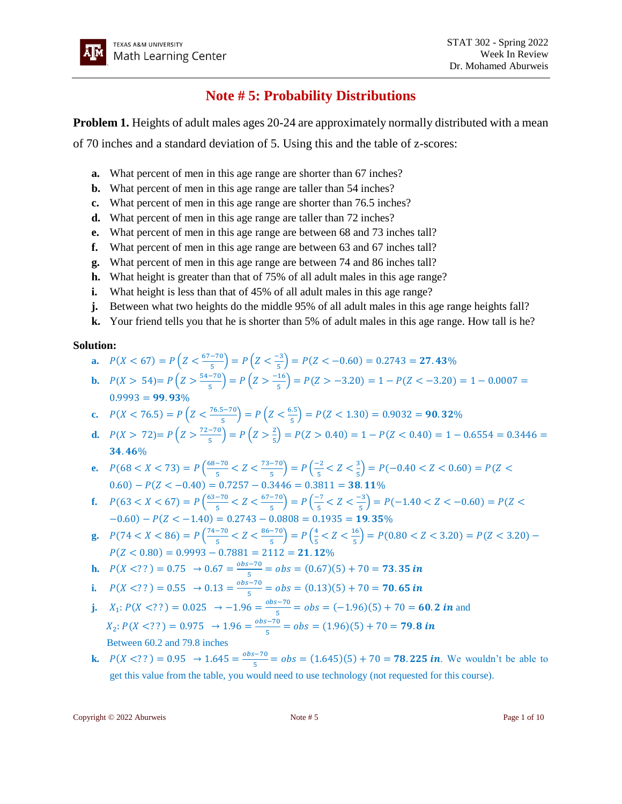# **Note # 5: Probability Distributions**

**Problem 1.** Heights of adult males ages 20-24 are approximately normally distributed with a mean

of 70 inches and a standard deviation of 5. Using this and the table of z-scores:

- **a.** What percent of men in this age range are shorter than 67 inches?
- **b.** What percent of men in this age range are taller than 54 inches?
- **c.** What percent of men in this age range are shorter than 76.5 inches?
- **d.** What percent of men in this age range are taller than 72 inches?
- **e.** What percent of men in this age range are between 68 and 73 inches tall?
- **f.** What percent of men in this age range are between 63 and 67 inches tall?
- **g.** What percent of men in this age range are between 74 and 86 inches tall?
- **h.** What height is greater than that of 75% of all adult males in this age range?
- **i.** What height is less than that of 45% of all adult males in this age range?
- **j.** Between what two heights do the middle 95% of all adult males in this age range heights fall?
- **k.** Your friend tells you that he is shorter than 5% of adult males in this age range. How tall is he?

### **Solution:**

- **a.**  $P(X < 67) = P\left(Z < \frac{67-70}{5}\right)$  $\left(\frac{-70}{5}\right) = P\left(Z < \frac{-3}{5}\right)$  $\binom{5}{5}$  =  $P(Z < -0.60)$  = 0.2743 = **27.43**%
- **b.**  $P(X > 54) = P\left(Z > \frac{54-70}{5}\right)$  $\left(\frac{-70}{5}\right) = P\left(Z > \frac{-16}{5}\right)$  $\frac{16}{5}$ ) = P(Z > -3.20) = 1 – P(Z < -3.20) = 1 – 0.0007 =  $0.9993 = 99.93\%$
- **c.**  $P(X < 76.5) = P\left(Z < \frac{76.5 70}{\pi}\right)$  $\left(\frac{5-70}{5}\right)$  =  $P\left(Z < \frac{6.5}{5}\right)$  $\binom{1.5}{5}$  =  $P(Z < 1.30)$  = 0.9032 = **90.32**%
- **d.**  $P(X > 72) = P\left(Z > \frac{72-70}{5}\right)$  $\left(\frac{-70}{5}\right) = P\left(Z > \frac{2}{5}\right)$  $\frac{2}{5}$ ) = P(Z > 0.40) = 1 – P(Z < 0.40) = 1 – 0.6554 = 0.3446 =  $34.46%$
- **e.**  $P(68 < X < 73) = P\left(\frac{68-70}{5}\right)$  $\frac{-70}{5} < Z < \frac{73-70}{5}$  $\left(\frac{-70}{5}\right) = P\left(\frac{-2}{5}\right)$  $\frac{-2}{5}$  < Z <  $\frac{3}{5}$  $\frac{3}{5}$ ) = P(-0.40 < Z < 0.60) = P(Z <  $(0.60) - P(Z < -0.40) = 0.7257 - 0.3446 = 0.3811 = 38.11\%$
- **f.**  $P(63 < X < 67) = P\left(\frac{63-70}{5}\right)$  $\frac{-70}{5} < Z < \frac{67-70}{5}$  $\left(\frac{-70}{5}\right) = P\left(\frac{-7}{5}\right)$  $\frac{-7}{5}$  < Z <  $\frac{-3}{5}$  $\binom{-3}{5}$  = P(-1.40 < Z < -0.60) = P(Z <  $-0.60$ ) –  $P(Z < -1.40) = 0.2743 - 0.0808 = 0.1935 = 19.35\%$
- **g.**  $P(74 < X < 86) = P\left(\frac{74-70}{5}\right)$  $\frac{-70}{5} < Z < \frac{86-70}{5}$  $\left(\frac{-70}{5}\right) = P\left(\frac{4}{5}\right)$  $\frac{4}{5} < Z < \frac{16}{5}$  $\binom{16}{5}$  = P(0.80 < Z < 3.20) = P(Z < 3.20) –  $P(Z < 0.80) = 0.9993 - 0.7881 = 2112 = 21.12\%$

**h.** 
$$
P(X \le ?') = 0.75 \rightarrow 0.67 = \frac{obs - 70}{5} = obs = (0.67)(5) + 70 = 73.35
$$
 in

i. 
$$
P(X \le ?') = 0.55 \rightarrow 0.13 = \frac{obs - 70}{5} = obs = (0.13)(5) + 70 =
$$
**70.65 in**

- **j.**  $X_1: P(X \leq ? ) = 0.025 \rightarrow -1.96 = \frac{obs 70}{5}$  $\frac{5-70}{5}$  =  $obs = (-1.96)(5) + 70 = 60.2$  in and  $X_2: P(X \leq ?) = 0.975 \rightarrow 1.96 = \frac{obs - 70}{5}$  $\frac{5-70}{5}$  =  $obs = (1.96)(5) + 70 = 79.8$  in Between 60.2 and 79.8 inches
- **k.**  $P(X \leq ?') = 0.95 \rightarrow 1.645 = \frac{obs 70}{5}$  $\frac{5-70}{5}$  =  $obs = (1.645)(5) + 70 = 78.225$  *in*. We wouldn't be able to get this value from the table, you would need to use technology (not requested for this course).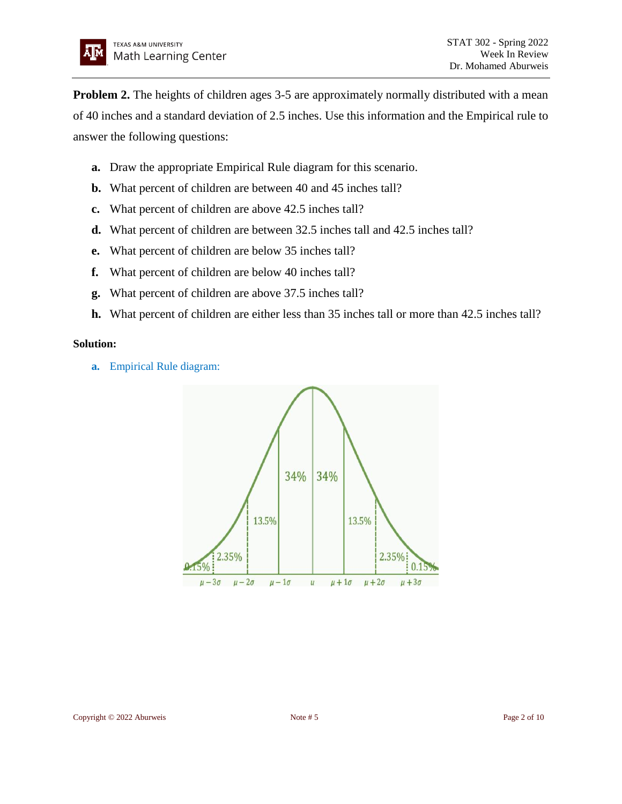**Problem 2.** The heights of children ages 3-5 are approximately normally distributed with a mean of 40 inches and a standard deviation of 2.5 inches. Use this information and the Empirical rule to answer the following questions:

- **a.** Draw the appropriate Empirical Rule diagram for this scenario.
- **b.** What percent of children are between 40 and 45 inches tall?
- **c.** What percent of children are above 42.5 inches tall?
- **d.** What percent of children are between 32.5 inches tall and 42.5 inches tall?
- **e.** What percent of children are below 35 inches tall?
- **f.** What percent of children are below 40 inches tall?
- **g.** What percent of children are above 37.5 inches tall?
- **h.** What percent of children are either less than 35 inches tall or more than 42.5 inches tall?

## **Solution:**

**a.** Empirical Rule diagram:

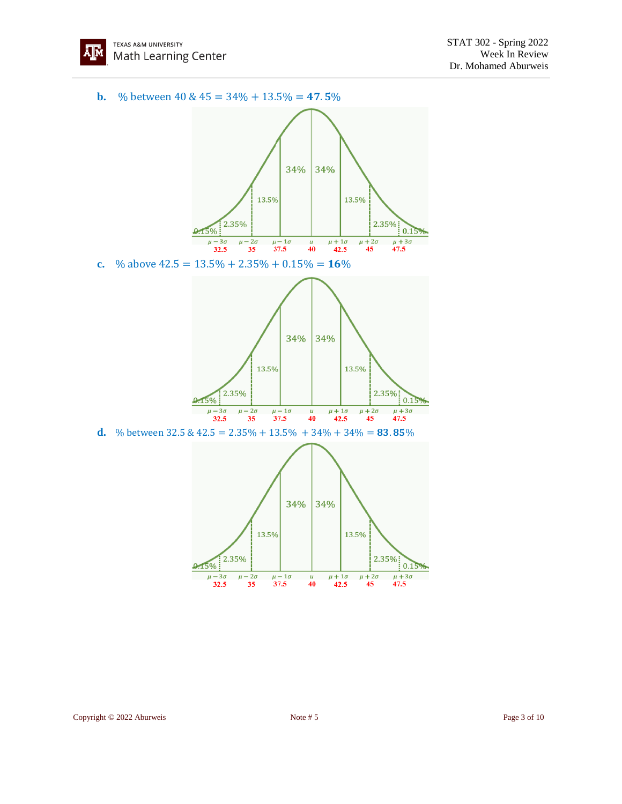

**b.** % between 40 &  $45 = 34\% + 13.5\% = 47.5\%$ 



**d.** % between  $32.5 \& 42.5 = 2.35\% + 13.5\% + 34\% + 34\% = 83.85\%$ 

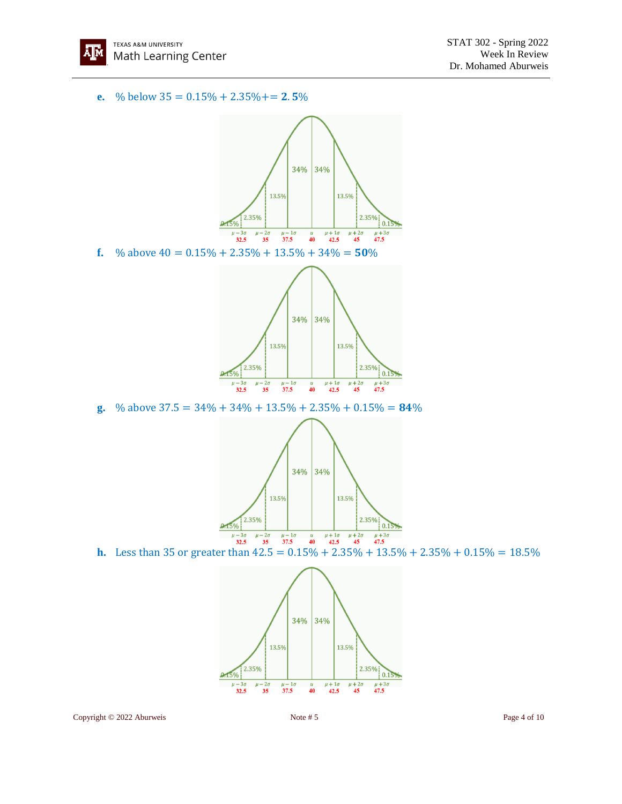

**e.** % below  $35 = 0.15\% + 2.35\% + 2.5\%$ 



13.5% 13.5%



**h.** Less than 35 or greater than  $42.5 = 0.15\% + 2.35\% + 13.5\% + 2.35\% + 0.15\% = 18.5\%$ 



Copyright © 2022 Aburweis Note # 5 Note # 5 Page 4 of 10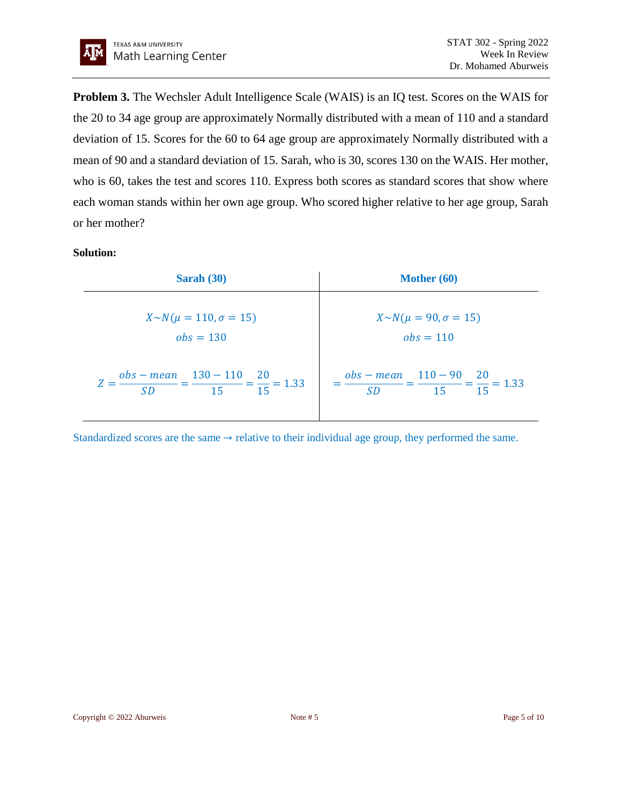**Problem 3.** The Wechsler Adult Intelligence Scale (WAIS) is an IQ test. Scores on the WAIS for the 20 to 34 age group are approximately Normally distributed with a mean of 110 and a standard deviation of 15. Scores for the 60 to 64 age group are approximately Normally distributed with a mean of 90 and a standard deviation of 15. Sarah, who is 30, scores 130 on the WAIS. Her mother, who is 60, takes the test and scores 110. Express both scores as standard scores that show where each woman stands within her own age group. Who scored higher relative to her age group, Sarah or her mother?

### **Solution:**

| Sarah $(30)$                                                              | Mother (60)                                                           |
|---------------------------------------------------------------------------|-----------------------------------------------------------------------|
| $X \sim N(\mu = 110, \sigma = 15)$<br>$obs = 130$                         | $X \sim N(\mu = 90, \sigma = 15)$<br>$obs = 110$                      |
| $Z = \frac{obs - mean}{SD} = \frac{130 - 110}{15} = \frac{20}{15} = 1.33$ | $=\frac{obs - mean}{SD} = \frac{110 - 90}{15} = \frac{20}{15} = 1.33$ |

Standardized scores are the same  $\rightarrow$  relative to their individual age group, they performed the same.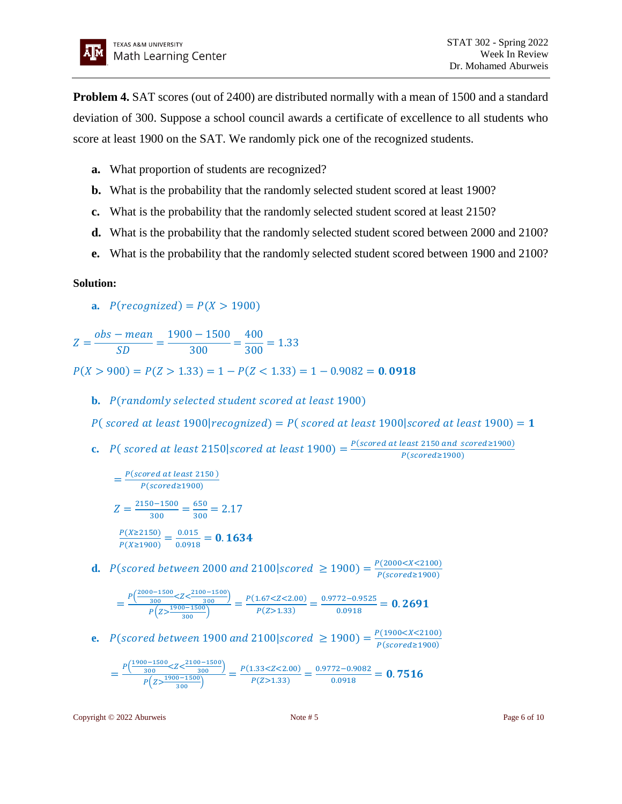**Problem 4.** SAT scores (out of 2400) are distributed normally with a mean of 1500 and a standard deviation of 300. Suppose a school council awards a certificate of excellence to all students who score at least 1900 on the SAT. We randomly pick one of the recognized students.

- **a.** What proportion of students are recognized?
- **b.** What is the probability that the randomly selected student scored at least 1900?
- **c.** What is the probability that the randomly selected student scored at least 2150?
- **d.** What is the probability that the randomly selected student scored between 2000 and 2100?
- **e.** What is the probability that the randomly selected student scored between 1900 and 2100?

## **Solution:**

**a.**  $P(recompized) = P(X > 1900)$ 

 $Z=$ obs – mean  $\frac{1}{SD}$  = 1900 − 1500  $\frac{1}{300}$  = 400  $\frac{1}{300}$  = 1.33

 $P(X > 900) = P(Z > 1.33) = 1 - P(Z < 1.33) = 1 - 0.9082 = 0.0918$ 

**b.** P(randomly selected student scored at least 1900)

P(scored at least 1900|recognized) = P(scored at least 1900|scored at least 1900) =  $1$ 

**c.** P(scored at least 2150| scored at least 1900) =  $\frac{P(\text{scoreed at least 2150 and scoredge 1900})}{P(\text{scoreed at 1900})}$  $P(scored \ge 1900)$ 

$$
= \frac{P(\text{scoreed at least 2150})}{P(\text{scored} \ge 1900)}
$$
  

$$
Z = \frac{2150 - 1500}{300} = \frac{650}{300} = 2.17
$$
  

$$
\frac{P(X \ge 2150)}{P(X \ge 1900)} = \frac{0.015}{0.0918} = 0.1634
$$

**d.**  $P(\text{scored between } 2000 \text{ and } 2100 | \text{scored } \ge 1900) = \frac{P(2000 < X < 2100)}{P(\text{scored}) + P(\text{scored})}$  $P(scored \ge 1900)$ 

$$
=\frac{P\left(\frac{2000-1500}{300}\right) < Z < \frac{2100-1500}{300}}{P\left(z > \frac{1900-1500}{300}\right)} = \frac{P(1.67 < Z < 2.00)}{P(Z > 1.33)} = \frac{0.9772 - 0.9525}{0.0918} = 0.2691
$$

**e.**  $P(\text{scored between 1900 and 2100}|\text{scored } \ge 1900) = \frac{P(1900 < X < 2100)}{P(\text{scored 1900})}$  $P(scored \ge 1900)$ 

$$
=\frac{P\left(\frac{1900-1500}{300}\right)2Z\left(\frac{2100-1500}{300}\right)}{P\left(\frac{1900-1500}{300}\right)}=\frac{P(1.33\leq Z\leq 2.00)}{P(Z>1.33)}=\frac{0.9772-0.9082}{0.0918}=0.7516
$$

Copyright © 2022 Aburweis **Note #5** Page 6 of 10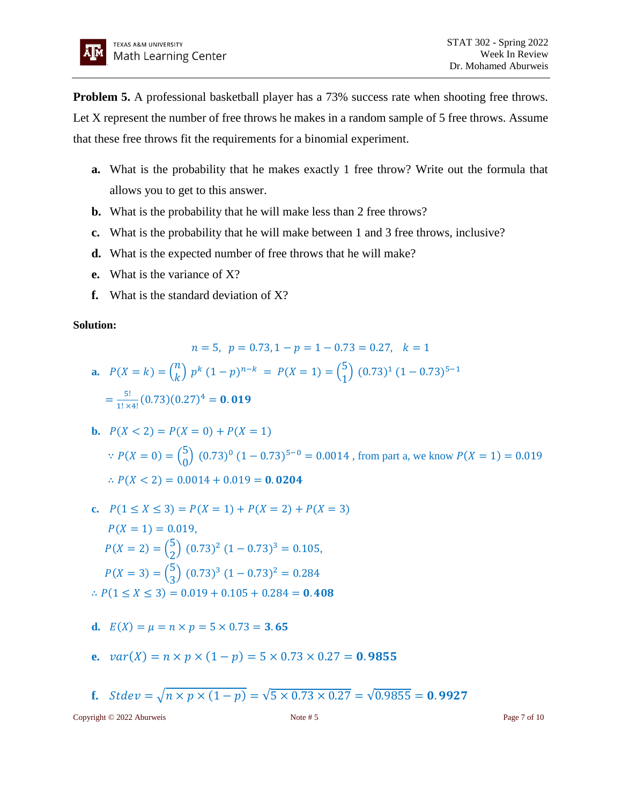**Problem 5.** A professional basketball player has a 73% success rate when shooting free throws. Let X represent the number of free throws he makes in a random sample of 5 free throws. Assume that these free throws fit the requirements for a binomial experiment.

- **a.** What is the probability that he makes exactly 1 free throw? Write out the formula that allows you to get to this answer.
- **b.** What is the probability that he will make less than 2 free throws?
- **c.** What is the probability that he will make between 1 and 3 free throws, inclusive?
- **d.** What is the expected number of free throws that he will make?
- **e.** What is the variance of X?
- **f.** What is the standard deviation of X?

### **Solution:**

$$
n = 5, \ p = 0.73, 1 - p = 1 - 0.73 = 0.27, \ k = 1
$$
  
**a.**  $P(X = k) = {n \choose k} p^k (1 - p)^{n-k} = P(X = 1) = {5 \choose 1} (0.73)^1 (1 - 0.73)^{5-1}$   

$$
= \frac{5!}{1! \times 4!} (0.73)(0.27)^4 = 0.019
$$

**b.** 
$$
P(X < 2) = P(X = 0) + P(X = 1)
$$
  
\n $\therefore P(X = 0) = {5 \choose 0} (0.73)^0 (1 - 0.73)^{5-0} = 0.0014$ , from part a, we know  $P(X = 1) = 0.019$   
\n $\therefore P(X < 2) = 0.0014 + 0.019 = 0.0204$ 

- **c.**  $P(1 \le X \le 3) = P(X = 1) + P(X = 2) + P(X = 3)$  $P(X = 1) = 0.019$ ,  $P(X = 2) = {5 \choose 2}$  $\binom{5}{2}$   $(0.73)^2 (1 - 0.73)^3 = 0.105$ ,  $P(X = 3) = {5 \choose 2}$  $\binom{5}{3}$   $(0.73)^3 (1 - 0.73)^2 = 0.284$  $\therefore P(1 \le X \le 3) = 0.019 + 0.105 + 0.284 = 0.408$
- **d.**  $E(X) = \mu = n \times p = 5 \times 0.73 = 3.65$
- **e.**  $var(X) = n \times p \times (1 p) = 5 \times 0.73 \times 0.27 = 0.9855$
- **f.**  $Stdev = \sqrt{n \times p \times (1-p)} = \sqrt{5 \times 0.73 \times 0.27} = \sqrt{0.9855} = 0.9927$

Copyright © 2022 Aburweis Note # 5 Note # 5 Page 7 of 10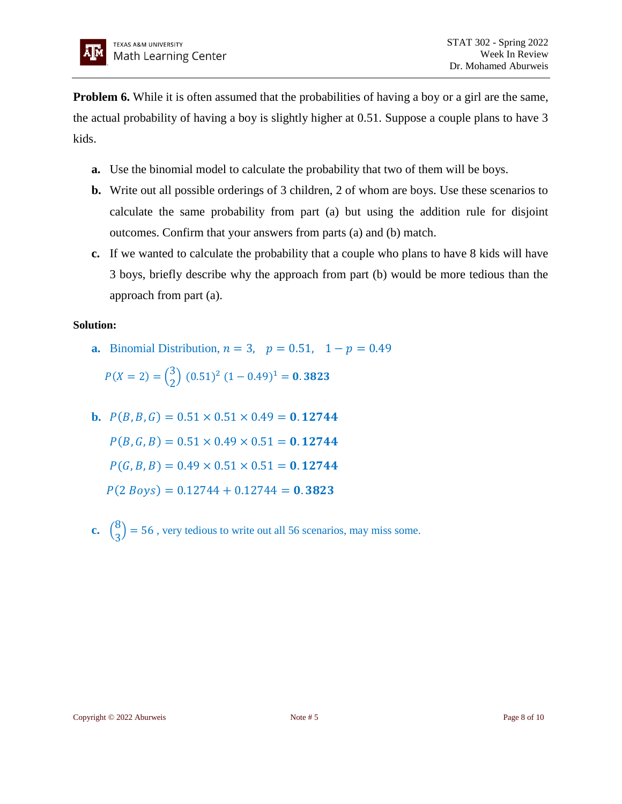**Problem 6.** While it is often assumed that the probabilities of having a boy or a girl are the same, the actual probability of having a boy is slightly higher at 0.51. Suppose a couple plans to have 3 kids.

- **a.** Use the binomial model to calculate the probability that two of them will be boys.
- **b.** Write out all possible orderings of 3 children, 2 of whom are boys. Use these scenarios to calculate the same probability from part (a) but using the addition rule for disjoint outcomes. Confirm that your answers from parts (a) and (b) match.
- **c.** If we wanted to calculate the probability that a couple who plans to have 8 kids will have 3 boys, briefly describe why the approach from part (b) would be more tedious than the approach from part (a).

## **Solution:**

**a.** Binomial Distribution,  $n = 3$ ,  $p = 0.51$ ,  $1 - p = 0.49$ 

 $P(X = 2) = {3 \choose 2}$  $\binom{3}{2}$   $(0.51)^2$   $(1 - 0.49)^1 = 0.3823$ 

- **b.**  $P(B, B, G) = 0.51 \times 0.51 \times 0.49 = 0.12744$  $P(B, G, B) = 0.51 \times 0.49 \times 0.51 = 0.12744$  $P(G, B, B) = 0.49 \times 0.51 \times 0.51 = 0.12744$  $P(2 \text{ Boys}) = 0.12744 + 0.12744 = 0.3823$
- **c.**  $\binom{8}{3}$  $\binom{3}{3}$  = 56, very tedious to write out all 56 scenarios, may miss some.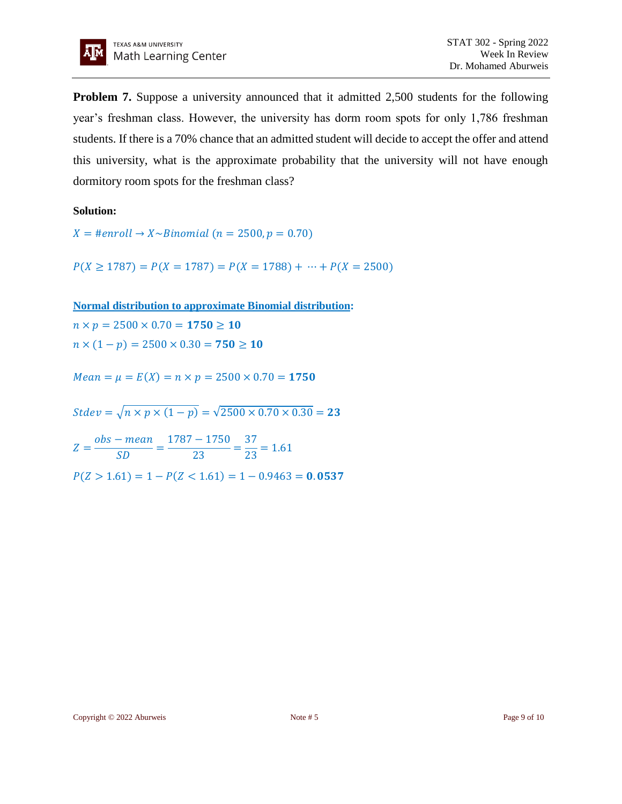

**Problem 7.** Suppose a university announced that it admitted 2,500 students for the following year's freshman class. However, the university has dorm room spots for only 1,786 freshman students. If there is a 70% chance that an admitted student will decide to accept the offer and attend this university, what is the approximate probability that the university will not have enough dormitory room spots for the freshman class?

**Solution:**

 $X = \text{H}$ enroll  $\rightarrow$  X~Binomial (n = 2500, p = 0.70)

 $P(X \ge 1787) = P(X = 1787) = P(X = 1788) + \cdots + P(X = 2500)$ 

**Normal distribution to approximate Binomial distribution:**

 $n \times p = 2500 \times 0.70 = 1750 \ge 10$  $n \times (1 - p) = 2500 \times 0.30 = 750 \ge 10$ 

 $Mean = \mu = E(X) = n \times p = 2500 \times 0.70 = 1750$ 

 $Stdev = \sqrt{n \times p \times (1-p)} = \sqrt{2500 \times 0.70 \times 0.30} = 23$ 

 $Z=$ obs – mean  $\frac{1}{SD}$  = 1787 − 1750  $\frac{1}{23}$  = 37  $\frac{1}{23}$  = 1.61  $P(Z > 1.61) = 1 - P(Z < 1.61) = 1 - 0.9463 = 0.0537$